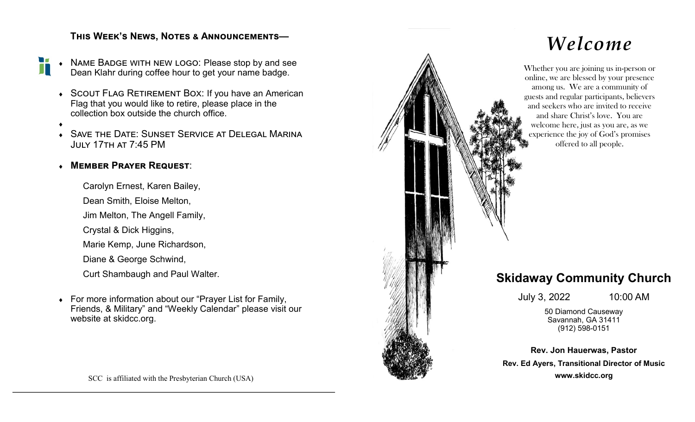## **This Week's News, Notes & Announcements—**

 Name Badge with new logo: Please stop by and see H Dean Klahr during coffee hour to get your name badge.

- SCOUT FLAG RETIREMENT BOX: If you have an American Flag that you would like to retire, please place in the collection box outside the church office.
- $\blacklozenge$
- Save the Date: Sunset Service at Delegal Marina July 17th at 7:45 PM

### **Member Prayer Request**:

Carolyn Ernest, Karen Bailey,

Dean Smith, Eloise Melton,

Jim Melton, The Angell Family,

Crystal & Dick Higgins,

Marie Kemp, June Richardson,

Diane & George Schwind,

Curt Shambaugh and Paul Walter.

 For more information about our "Prayer List for Family, Friends, & Military" and "Weekly Calendar" please visit our website at skidcc.org.



# *Welcome*

Whether you are joining us in-person or online, we are blessed by your presence among us. We are a community of guests and regular participants, believers and seekers who are invited to receive and share Christ's love. You are welcome here, just as you are, as we experience the joy of God's promises offered to all people.

# **Skidaway Community Church**

July 3, 2022 10:00 AM

50 Diamond Causeway Savannah, GA 31411 (912) 598-0151

**Rev. Jon Hauerwas, Pastor Rev. Ed Ayers, Transitional Director of Music www.skidcc.org**

SCC is affiliated with the Presbyterian Church (USA)